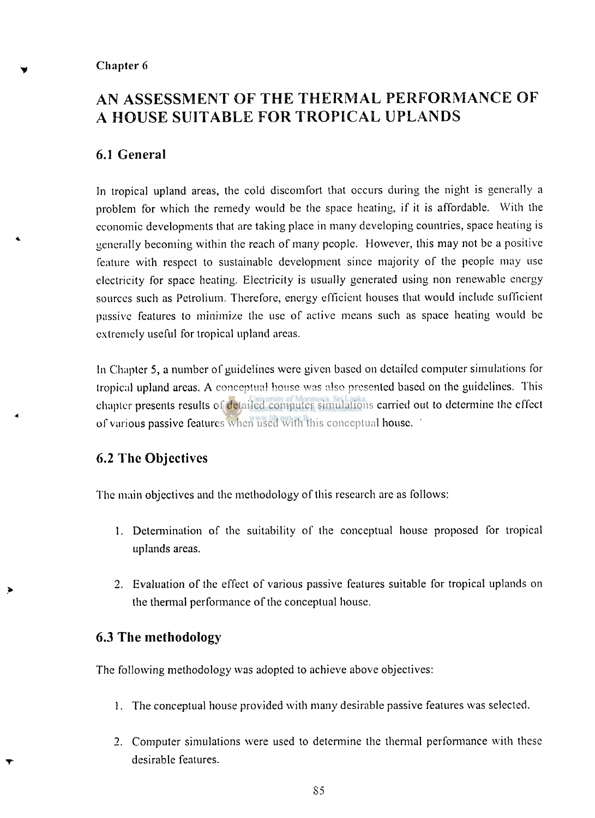**Chapter 6** 

# **AN ASSESSMENT OF THE THERMAL PERFORMANCE OF A HOUSE SUITABLE FOR TROPICAL UPLANDS**

## **6.1 General**

In tropical upland areas, the cold discomfort that occurs during the night is generally a problem for which the remedy would be the space heating, if it is affordable. With the economic developments that are taking place in many developing countries, space heating is generally becoming within the reach of many people. However, this may not be a positive feature with respect to sustainable development since majority of the people may use electricity for space heating. Electricity is usually generated using non renewable energy sources such as Petrolium. Therefore, energy efficient houses that would include sufficient passive features to minimize the use of active means such as space heating would be extremely useful for tropical upland areas.

In Chapter **5,** a number of guidelines were given based on detailed computer simulations for tropical upland areas. A conceptual house was also presented based on the guidelines. This chapter presents results of detailed computer simulations carried out to determine the effect of various passive features when used with this conceptual house.

# **6.2 The Objectives**

The main objectives and the methodology of this research are as follows:

- **1.** Determination of the suitability of the conceptual house proposed for tropical uplands areas.
- 2. Evaluation of the effect of various passive features suitable for tropical uplands on the thermal performance of the conceptual house.

### **6.3 The methodology**

The following methodology was adopted to achieve above objectives:

- **1**. The conceptual house provided with many desirable passive features was selected.
- 2. Computer simulations were used to determine the thermal performance with these desirable features.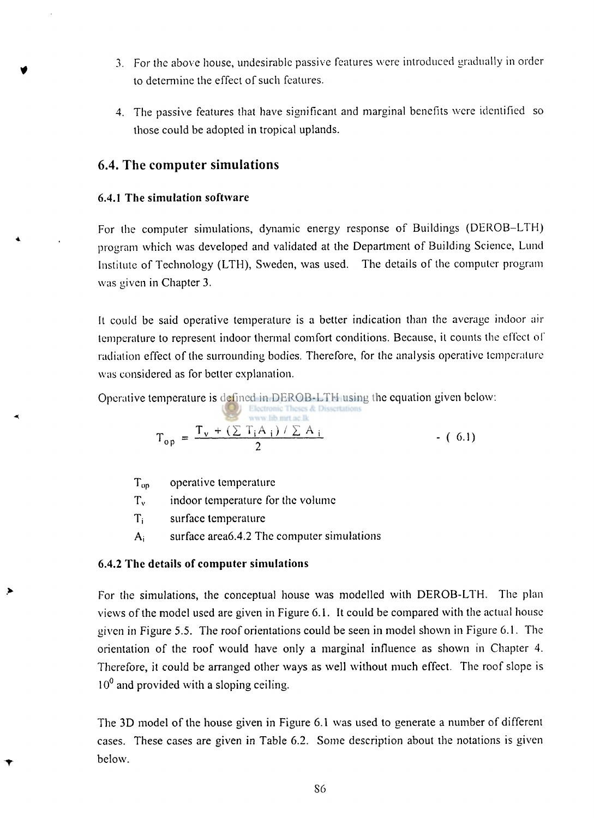- **3.** For the above house, undesirable passive features were introduced gradually in order to determine the effect of such features.
- **4.** The passive features that have significant and marginal benefits were identified so those could be adopted in tropical uplands.

### **6.4 . The computer simulations**

#### **6.4.1 The simulation software**

For the computer simulations, dynamic energy response of Buildings (DEROB-LTH) program which was developed and validated at the Department of Building Science, Lund Institute of Technology (LTH), Sweden, was used. The details of the computer program was given in Chapter 3.

It could be said operative temperature is a better indication than the average indoor air temperature to represent indoor thermal comfort conditions. Because, it counts the effect of radiation effect of the surrounding bodies. Therefore, for the analysis operative temperature was considered as for better explanation.

Operative temperature is defined in DEROB-LTH using the equation given below: (<sup>2</sup>) Electronic Theses & Dissertations

$$
T_{op} = \frac{T_v + (\sum T_i A_i) / \sum A_i}{2}
$$
 (6.1)

- T<sub>op</sub> operative temperature
- Tv indoor temperature for the volume
- T<sub>i</sub> surface temperature
- **Aj** surface area6.4.2 The computer simulations

#### **6.4.2 The details of computer simulations**

For the simulations, the conceptual house was modelled with DEROB-LTH. The plan views of the model used are given in Figure 6.1. It could be compared with the actual house given in Figure 5.5. The roof orientations could be seen in model shown in Figure 6.1. The orientation of the roof would have only a marginal influence as shown in Chapter **4.**  Therefore, it could be arranged other ways as well without much effect. The roof slope is 10<sup>0</sup> and provided with a sloping ceiling.

The 3D model of the house given in Figure 6.1 was used to generate a number of different cases. These cases are given in Table 6.2. Some description about the notations is given below.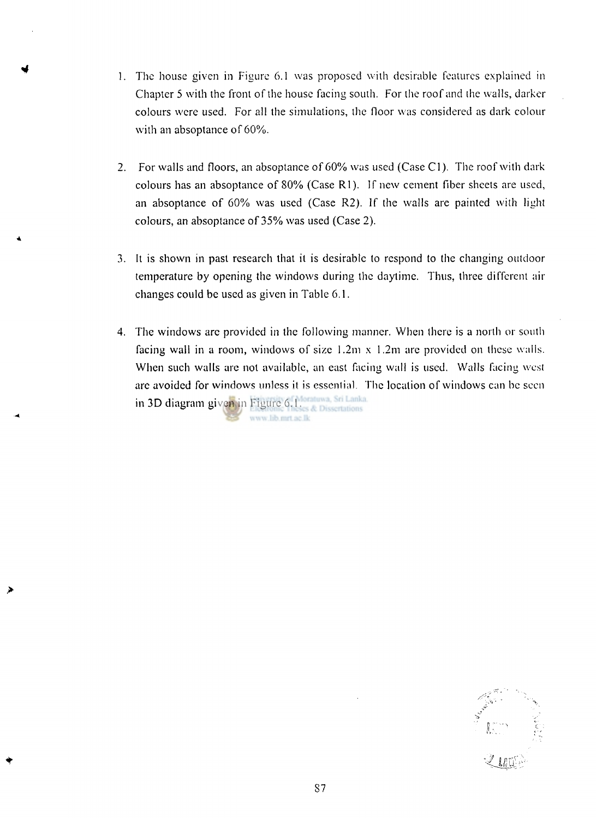- 1. The house given in Figure 6.1 was proposed with desirable features explained in Chapter 5 with the front of the house facing south. For the roof and the walls, darker colours were used. For all the simulations, the floor was considered as dark colour with an absoptance of 60%.
- 2. For walls and floors, an absoptance of 60% was used (Case CI). The roof with dark colours has an absoptance of 80% (Case Rl). If new cement fiber sheets are used, an absoptance of 60% was used (Case R2). If the walls are painted with light colours, an absoptance of 35% was used (Case 2).
- 3. It is shown in past research that it is desirable to respond to the changing outdoor temperature by opening the windows during the daytime. Thus, three different aitchanges could be used as given in Table 6.1.
- 4. The windows are provided in the following manner. When there is a north or south facing wall in a room, windows of size 1.2m x 1.2m are provided on these walls. When such walls are not available, an east facing wall is used. Walls facing west arc avoided for windows unless it is esscnlial. The location of windows can be seen in 3D diagram given in Figure 6.1Moratuwa, Sri Lanka. www.lib.mrt.ac.lk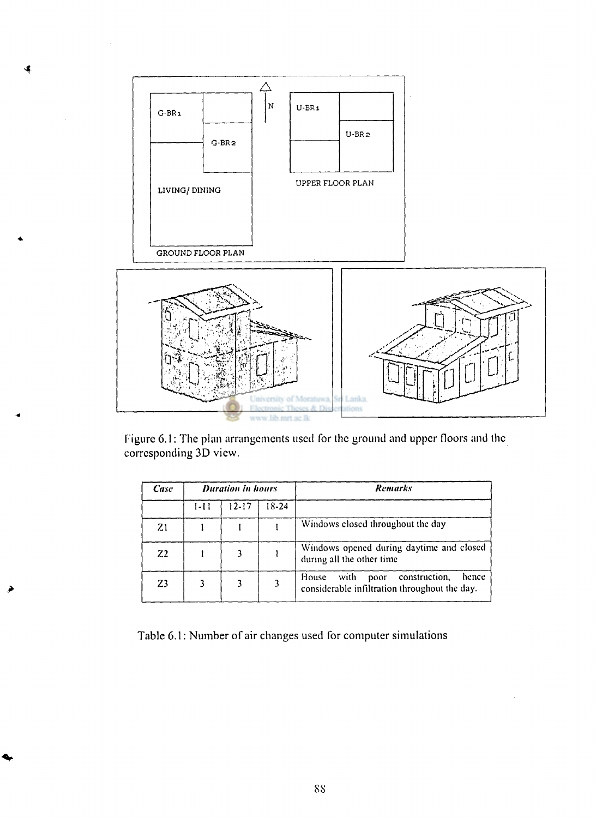

**Figure 6.1: The plan arrangements used for the ground and upper floors and the corresponding 3D view.** 

| Case           |          | <b>Duration in hours</b> |       | <b>Remarks</b>                                                                                   |  |
|----------------|----------|--------------------------|-------|--------------------------------------------------------------------------------------------------|--|
|                | $1 - 11$ | 12-17                    | 18-24 |                                                                                                  |  |
| 21             |          |                          |       | Windows closed throughout the day                                                                |  |
| Z <sub>2</sub> |          |                          |       | Windows opened during daytime and closed<br>during all the other time                            |  |
| Z <sub>3</sub> |          |                          | 3     | with<br>hence<br>House<br>construction,<br>poor<br>considerable infiltration throughout the day. |  |

**Table 6.1: Number of air changes used for computer simulations**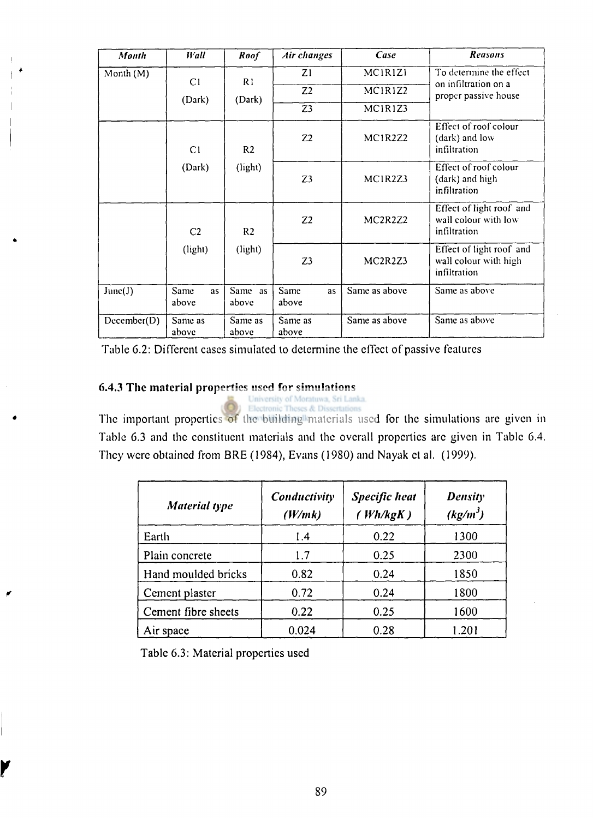| <b>Month</b> | Wall                | Roof             | Air changes         | Case          | <b>Reasons</b>                                                    |  |
|--------------|---------------------|------------------|---------------------|---------------|-------------------------------------------------------------------|--|
| Month $(M)$  | C <sub>1</sub>      | R <sub>1</sub>   | Z1                  | MCIRIZI       | To determine the effect                                           |  |
|              | (Dark)              | (Dark)           | Z <sub>2</sub>      | MC1R1Z2       | on infiltration on a<br>proper passive house                      |  |
|              |                     |                  | Z <sub>3</sub>      | MC1R1Z3       |                                                                   |  |
|              | C1                  | R <sub>2</sub>   | Z <sub>2</sub>      | MC1R2Z2       | Effect of roof colour<br>(dark) and low<br>infiltration           |  |
|              | (Dark)              | (light)          | Z3                  | MC1R2Z3       | Effect of roof colour<br>(dark) and high<br>infiltration          |  |
|              | C <sub>2</sub>      | R <sub>2</sub>   | Z <sub>2</sub>      | MC2R2Z2       | Effect of light roof and<br>wall colour with low<br>infiltration  |  |
|              | (light)             | (light)          | Z3                  | MC2R2Z3       | Effect of light roof and<br>wall colour with high<br>infiltration |  |
| June(J)      | Same<br>as<br>above | Same as<br>above | Same<br>as<br>above | Same as above | Same as above                                                     |  |
| December(D)  | Same as<br>above    | Same as<br>above | Same as<br>above    | Same as above | Same as above                                                     |  |

**Table 6.2: Different cases simulated to determine the effect of passive features** 

### **6.4.3 The material properties used for simulations**

University of Moratuwa, Sri Lanka. & Dissertations

**The important properties of the building materials used for the simulations are given in Table 6.3 and the constituent materials and the overall properties arc given in Table 6.4. They were obtained from BRE (1984), Evans (1980) and Nayak ct al. (1999).** 

| <b>Material type</b> | Conductivity<br>(W/mk) | <b>Specific heat</b><br>(Wh/kgK) | <b>Density</b><br>$(kg/m^3)$ |
|----------------------|------------------------|----------------------------------|------------------------------|
| Earth                | 1.4                    | 0.22                             | 1300                         |
| Plain concrete       | 1.7                    | 0.25                             | 2300                         |
| Hand moulded bricks  | 0.82                   | 0.24                             | 1850                         |
| Cement plaster       | 0.72                   | 0.24                             | 1800                         |
| Cement fibre sheets  | 0.22                   | 0.25                             | 1600                         |
| Air space            | 0.024                  | 0.28                             | .201                         |

**Table 6.3: Material properties used** 

Y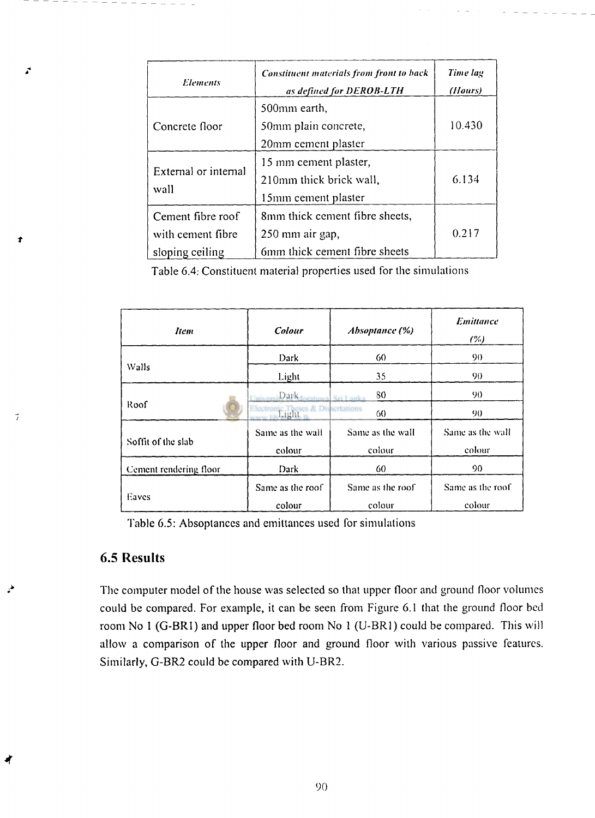| <b>Elements</b>                                                                                         | <b>Constituent materials from front to back</b><br>as defined for DEROB-LTH        |        |
|---------------------------------------------------------------------------------------------------------|------------------------------------------------------------------------------------|--------|
| Concrete floor                                                                                          | 500mm earth,<br>50mm plain concrete,<br>20mm cement plaster                        | 10.430 |
| 15 mm cement plaster,<br>External or internal<br>210mm thick brick wall,<br>wall<br>15mm cement plaster |                                                                                    | 6.134  |
| Cement fibre roof<br>with cement fibre<br>sloping ceiling                                               | 8mm thick cement fibre sheets,<br>250 mm air gap,<br>6mm thick cement fibre sheets | 0.217  |

**Table 6.4: Constituent material properties used for the simulations** 

| Item                   | Colour                              | Absoptance (%)   | Emittance<br>(%) |  |
|------------------------|-------------------------------------|------------------|------------------|--|
|                        | Dark                                | 60               | 90               |  |
| <b>Walls</b>           | Light                               | 35               | 90               |  |
|                        | Dark torstump Sri Lanka<br>Llnisone | 80               | 90               |  |
| Roof                   | Electron Light as & Dissertations   | 60               | 90               |  |
|                        | Same as the wall                    | Same as the wall | Same as the wall |  |
| Soffit of the slab     | colour                              | colour           | colour           |  |
| Cement rendering floor | Dark                                | 60               | 90               |  |
| Eaves                  | Same as the roof                    | Same as the roof | Same as the roof |  |
|                        | colour                              | colour           | colour           |  |

**Table 6.5: Absoptances and emittances used for simulations** 

### **6.5 Results**

 $\vec{r}$ 

Ť

 $\tilde{I}$ 

لمن

4

**The computer model of the house was selected so that upper floor and ground floor volumes could be compared. For example, it can be seen from Figure 6.1 that the ground floor bed room No 1 (G-BR1) and upper floor bed room No 1 (U-BR1) could be compared. This will allow a comparison of the upper floor and ground floor with various passive features. Similarly, G-BR2 could be compared with U-BR2.**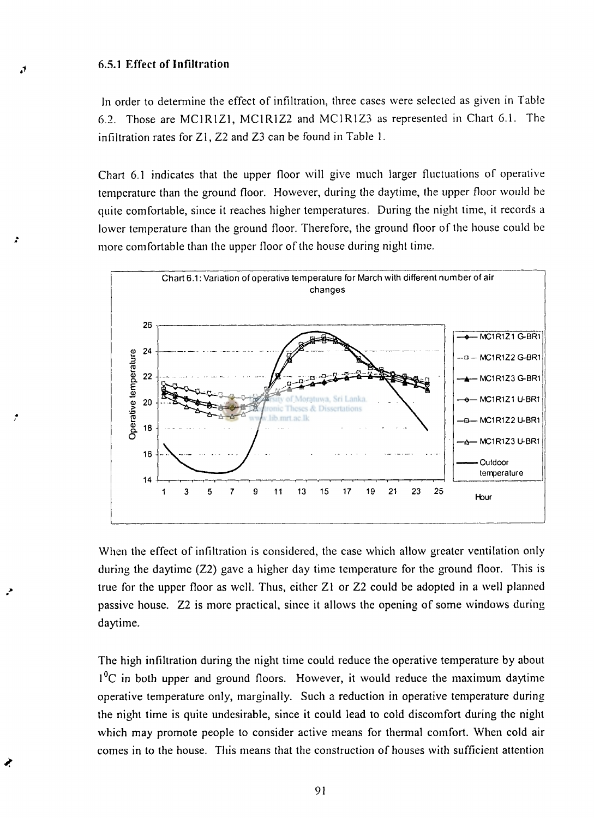#### **6.5.1 Effect of Infiltration**

J

Ì.

In order to determine the effect of infiltration, three cases were selected as given in Table 6.2. Those are MC1R1Z1, MC1R1Z2 and MC1R1Z3 as represented in Chart 6.1. The infiltration rates for Zl, Z2 and Z3 can be found in Table 1.

Chart 6.1 indicates that the upper floor will give much larger fluctuations of operative temperature than the ground floor. However, during the daytime, the upper floor would be quite comfortable, since it reaches higher temperatures. During the night time, it records a lower temperature than the ground floor. Therefore, the ground floor of the house could be more comfortable than the upper floor of the house during night time.



When the effect of infiltration is considered, the case which allow greater ventilation only during the daytime (Z2) gave a higher day time temperature for the ground floor. This is true for the upper floor as well. Thus, either Zl or Z2 could be adopted in a well planned passive house. Z2 is more practical, since it allows the opening of some windows during daytime.

The high infiltration during the night time could reduce the operative temperature by about  $1<sup>0</sup>C$  in both upper and ground floors. However, it would reduce the maximum daytime operative temperature only, marginally. Such a reduction in operative temperature during the night time is quite undesirable, since it could lead to cold discomfort during the night which may promote people to consider active means for thermal comfort. When cold air comes in to the house. This means that the construction of houses with sufficient attention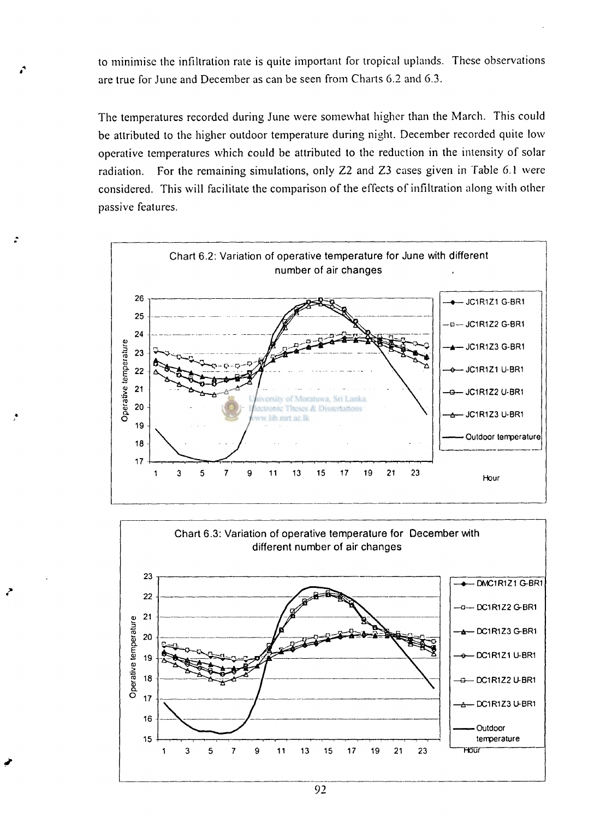to minimise the infiltration rate is quite important for tropical uplands. These observations are true for June and December as can be seen from Charts 6.2 and 6.3.

*4* 

The temperatures recorded during June were somewhat higher than the March. This could be attributed to the higher outdoor temperature during night. December recorded quite low operative temperatures which could be attributed to the reduction in the intensity of solar radiation. For the remaining simulations, only Z2 and Z3 cases given in Table 6**.1** were considered. This will facilitate the comparison of the effects of infiltration along with other passive features.





92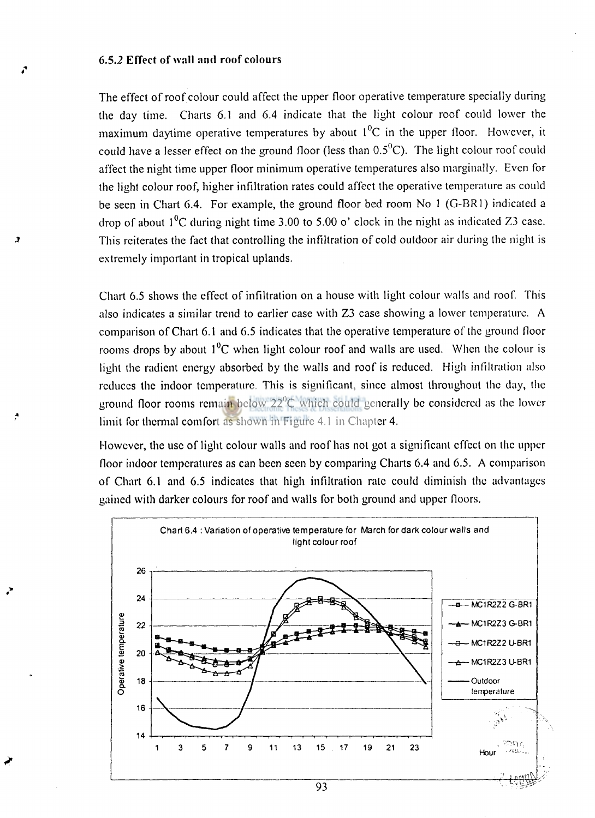#### **6.5.2 Effect of wall and roof colours**

The effect of roof colour could affect the upper floor operative temperature specially during the day time. Charts 6.1 and 6.4 indicate that the light colour roof could lower the maximum daytime operative temperatures by about  $1^{0}C$  in the upper floor. However, it could have a lesser effect on the ground floor (less than  $0.5^{\circ}$ C). The light colour roof could affect the night time upper floor minimum operative temperatures also marginally. Even for the light colour roof, higher infiltration rates could affect the operative temperature as could be seen in Chart 6.4. For example, the ground floor bed room No 1 (G-BR1) indicated a drop of about  $1^{0}$ C during night time 3.00 to 5.00 o' clock in the night as indicated Z3 case. This reiterates the fact that controlling the infiltration of cold outdoor air during the night is extremely important in tropical uplands.

Chart 6.5 shows the effect of infiltration on a house with light colour walls and roof. This also indicates a similar trend to earlier case with Z3 case showing a lower temperature. A comparison of Chart 6.1 and 6.5 indicates that the operative temperature of the ground floor rooms drops by about  $1^{0}C$  when light colour roof and walls are used. When the colour is light the radient energy absorbed by the walls and roof is reduced. High infiltration also reduces the indoor temperature. This is significant, since almost throughout the day, the ground floor rooms remain below  $22^{\circ}$ C which could generally be considered as the lower limit for thermal comfort as shown in Figure 4.1 in Chapter 4.

However, the use of light colour walls and roof has not got a significant effect on the upper floor indoor temperatures as can been seen by comparing Charts 6.4 and 6.5. A comparison of Chart 6.1 and 6.5 indicates that high infiltration rate could diminish the advantages gained with darker colours for roof and walls for both ground and upper floors.

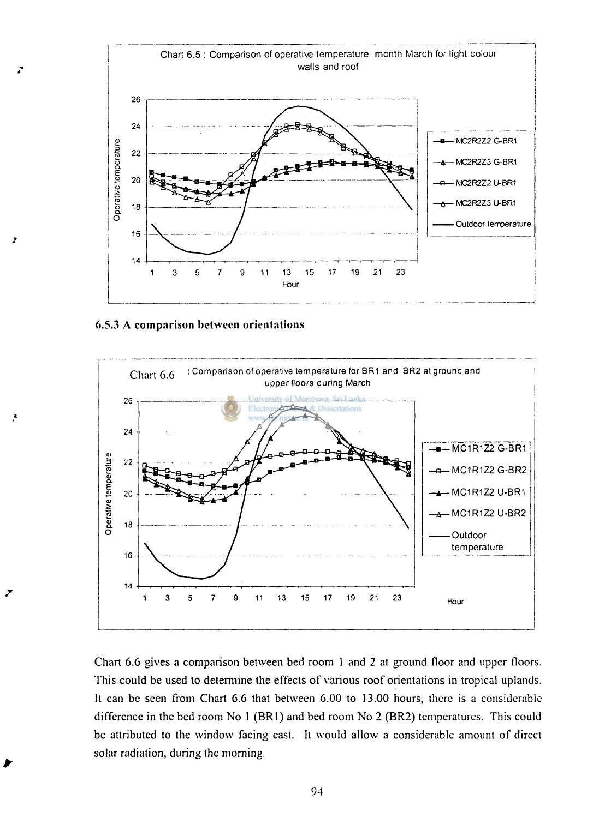

**6.5.3 A comparison between orientations** 



**Chart 6.6 gives a comparison between bed room 1 and 2 at ground floor and upper floors. This could be used to determine the effects of various roof orientations in tropical uplands. It can be seen from Chart 6.6 that between 6.00 to 13.00 hours, there is a considerable difference in the bed room No 1 (BR1) and bed room No 2 (BR2) temperatures. This could be attributed to the window facing east. It would allow a considerable amount of direct solar radiation, during the morning.**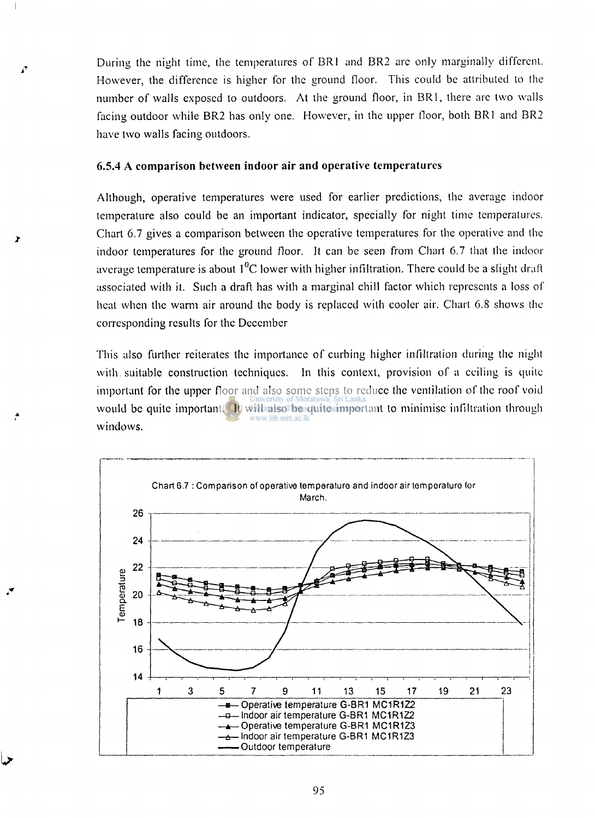During the night time, the temperatures of BR1 and BR2 are only marginally different. However, the difference is higher for the ground floor. This could be attributed to the number of walls exposed to outdoors. At the ground floor, in BR1, there are two walls facing outdoor while BR2 has only one. However, in the upper floor, both BR1 and BR2 have two walls facing outdoors.

#### **6.5.4 A comparison between indoor air and operative temperatures**

Although, operative temperatures were used for earlier predictions, the average indoor temperature also could be an important indicator, specially for night time temperatures. Chart **6.7** gives a comparison between the operative temperatures for the operative and the indoor temperatures for the ground floor. It can be seen from Chart **6.7** that the indoor average temperature is about **1**°C lower with higher infiltration. There could be a slight draft associated with it. Such a draft has with a marginal chill factor which represents a loss of heat when the warm air around the body is replaced with cooler air. Chart **6.8** shows the corresponding results for the December

This also further reiterates the importance of curbing higher infiltration during the night with suitable construction techniques. In this context, provision of a ceiling is quite important for the upper floor and also some steps to reduce the ventilation of the roof void would be quite important. It will also be quite important to minimise infiltration through windows.

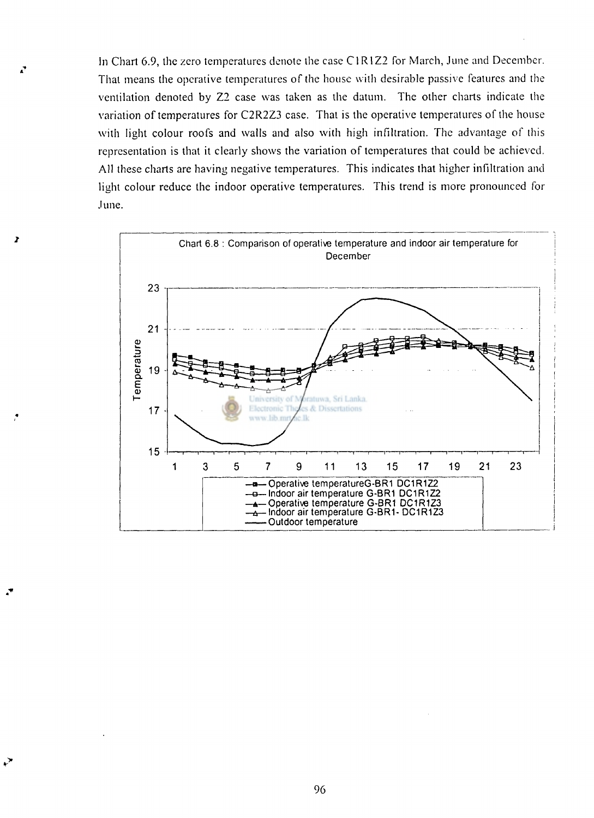In Chart 6.9, the zero temperatures denote the case C1R1Z2 for March, June and December. That means the operative temperatures of the house with desirable passive features and the ventilation denoted by Z2 case was taken as the datum. The other charts indicate the variation of temperatures for C2R2Z3 case. That is the operative temperatures of the house with light colour roofs and walls and also with high infiltration. The advantage of this representation is that it clearly shows the variation of temperatures that could be achieved. All these charts are having negative temperatures. This indicates that higher infiltration and light colour reduce the indoor operative temperatures. This trend is more pronounced for June.



↙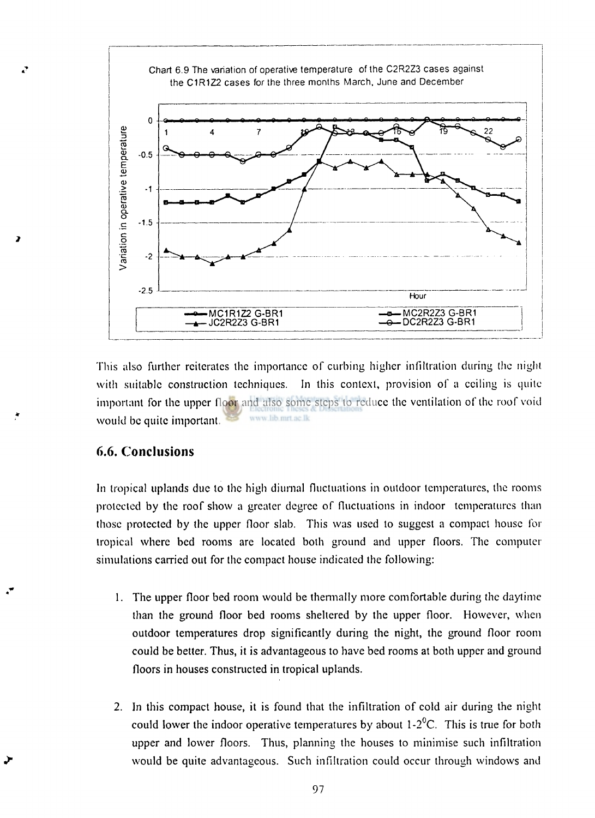

**This also further reiterates the importance of curbing higher infiltration during the night**  with suitable construction techniques. In this context, provision of a ceiling is quite **important for the upper floor and also some steps to reduce the ventilation of the roof void**  w lib mrt ac Ik **would be quite important.** 

### **6.6. Conclusions**

**In tropical uplands due to the high diurnal fluctuations in outdoor temperatures, the rooms protected by the roof show a greater degree of fluctuations in indoor temperatures than those protected by the upper floor slab. This was used to suggest a compact house for tropical where bed rooms are located both ground and upper floors. The computer simulations carried out for the compact house indicated the following:** 

- **1. The upper floor bed room would be thermally more comfortable during the daytime than the ground floor bed rooms sheltered by the upper floor. However, when outdoor temperatures drop significantly during the night, the ground floor room could be better. Thus, it is advantageous to have bed rooms at both upper and ground floors in houses constructed in tropical uplands.**
- **2. In this compact house, it is found that the infiltration of cold air during the night could lower the indoor operative temperatures by about 1-2°C. This is true for both upper and lower floors. Thus, planning the houses to minimise such infiltration would be quite advantageous. Such infiltration could occur through windows and**